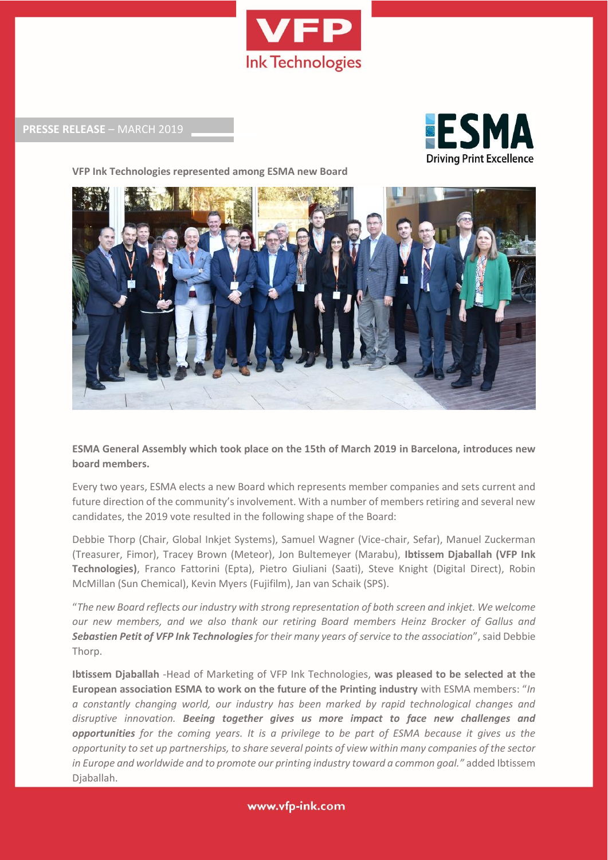

**PRESSE RELEASE** – MARCH 2019

**VFP Ink Technologies represented among ESMA new Board**





**ESMA General Assembly which took place on the 15th of March 2019 in Barcelona, introduces new board members.**

Every two years, ESMA elects a new Board which represents member companies and sets current and future direction of the community's involvement. With a number of members retiring and several new candidates, the 2019 vote resulted in the following shape of the Board:

Debbie Thorp (Chair, Global Inkjet Systems), Samuel Wagner (Vice-chair, Sefar), Manuel Zuckerman (Treasurer, Fimor), Tracey Brown (Meteor), Jon Bultemeyer (Marabu), **Ibtissem Djaballah (VFP Ink Technologies)**, Franco Fattorini (Epta), Pietro Giuliani (Saati), Steve Knight (Digital Direct), Robin McMillan (Sun Chemical), Kevin Myers (Fujifilm), Jan van Schaik (SPS).

"*The new Board reflects our industry with strong representation of both screen and inkjet. We welcome our new members, and we also thank our retiring Board members Heinz Brocker of Gallus and Sebastien Petit of VFP Ink Technologiesfor their many years of service to the association*", said Debbie Thorp.

**Ibtissem Djaballah** -Head of Marketing of VFP Ink Technologies, **was pleased to be selected at the European association ESMA to work on the future of the Printing industry** with ESMA members: "*In a constantly changing world, our industry has been marked by rapid technological changes and disruptive innovation. Beeing together gives us more impact to face new challenges and opportunities for the coming years. It is a privilege to be part of ESMA because it gives us the opportunity to set up partnerships, to share several points of view within many companies of the sector*  in Europe and worldwide and to promote our printing industry toward a common goal." added Ibtissem Djaballah.